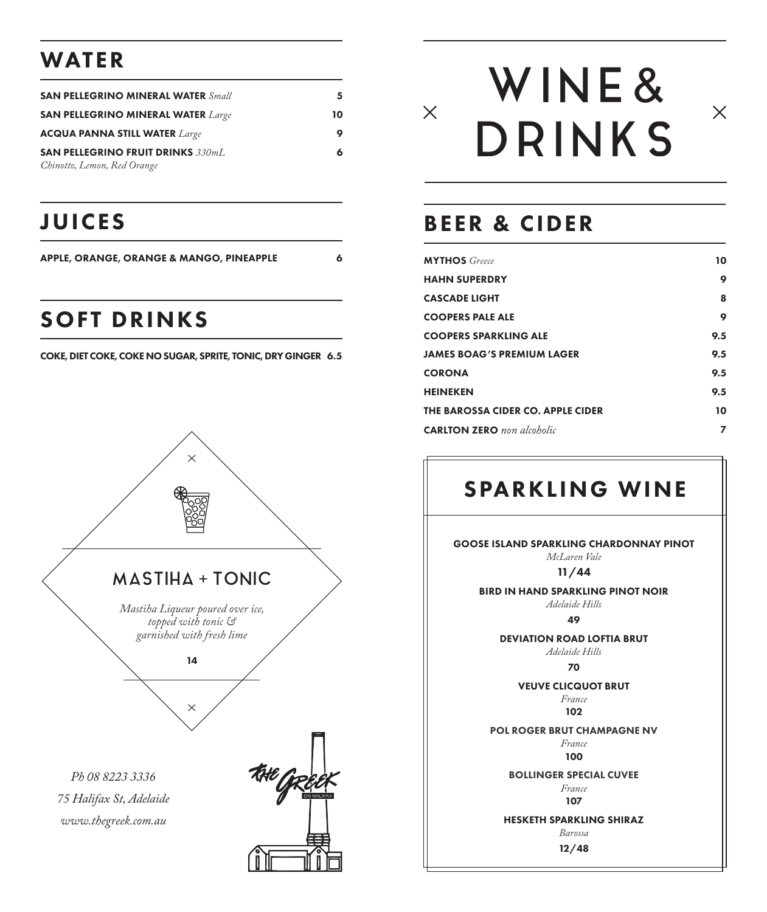#### WATER

| <b>SAN PELLEGRINO MINERAL WATER Small</b>                               |    |
|-------------------------------------------------------------------------|----|
| <b>SAN PELLEGRINO MINERAL WATER Large</b>                               | 10 |
| <b>ACQUA PANNA STILL WATER Large</b>                                    |    |
| <b>SAN PELLEGRINO FRUIT DRINKS 330mL</b><br>Chinotto, Lemon, Red Orange |    |

# JUICES

APPLE, ORANGE, ORANGE & MANGO, PINEAPPLE 6

## SOFT DRINKS

COKE, DIET COKE, COKE NO SUGAR, SPRITE, TONIC, DRY GINGER 6.5



# WINE & **DRINKS**



#### BEER & CIDER

 $\times$ 

| <b>MYTHOS</b> Greece              | 10  |
|-----------------------------------|-----|
| <b>HAHN SUPERDRY</b>              | 9   |
| <b>CASCADE LIGHT</b>              | 8   |
| <b>COOPERS PALE ALE</b>           | 9   |
| <b>COOPERS SPARKLING ALE</b>      | 9.5 |
| <b>JAMES BOAG'S PREMIUM LAGER</b> | 9.5 |
| <b>CORONA</b>                     | 9.5 |
| <b>HEINEKEN</b>                   | 9.5 |
| THE BAROSSA CIDER CO. APPLE CIDER | 10  |
| <b>CARLTON ZERO</b> non alcoholic | 7   |

# SPARKLING WINE

GOOSE ISLAND SPARKLING CHARDONNAY PINOT *McLaren Vale* 11/44 BIRD IN HAND SPARKLING PINOT NOIR *Adelaide Hills*  49 DEVIATION ROAD LOFTIA BRUT *Adelaide Hills*  70 VEUVE CLICQUOT BRUT *France* 102 POL ROGER BRUT CHAMPAGNE NV *France* 100 BOLLINGER SPECIAL CUVEE *France* 107 HESKETH SPARKLING SHIRAZ

> *Barossa* 12/48